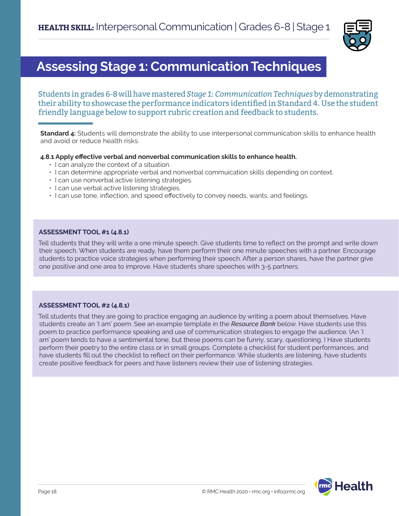

# **Assessing Stage 1: Communication Techniques**

Students in grades 6-8 will have mastered *Stage 1: Communication Techniques* by demonstrating their ability to showcase the performance indicators identified in Standard 4. Use the student friendly language below to support rubric creation and feedback to students.

**Standard 4:** Students will demonstrate the ability to use interpersonal communication skills to enhance health and avoid or reduce health risks.

**4.8.1 Apply effective verbal and nonverbal communication skills to enhance health.** 

- I can analyze the context of a situation.
- I can determine appropriate verbal and nonverbal commuication skills depending on context.
- I can use nonverbal active listening strategies.
- I can use verbal active listening strategies.
- I can use tone, inflection, and speed effectively to convey needs, wants, and feelings.

#### **ASSESSMENT TOOL #1 (4.8.1)**

Tell students that they will write a one minute speech. Give students time to reflect on the prompt and write down their speech. When students are ready, have them perform their one minute speeches with a partner. Encourage students to practice voice strategies when performing their speech. After a person shares, have the partner give one positive and one area to improve. Have students share speeches with 3-5 partners.

# **ASSESSMENT TOOL #2 (4.8.1)**

Tell students that they are going to practice engaging an audience by writing a poem about themselves. Have students create an 'I am' poem. See an example template in the *Resource Bank* below. Have students use this poem to practice performance speaking and use of communication strategies to engage the audience. (An 'I am' poem tends to have a sentimental tone, but these poems can be funny, scary, questioning. ) Have students perform their poetry to the entire class or in small groups. Complete a checklist for student performances, and have students fill out the checklist to reflect on their performance. While students are listening, have students create positive feedback for peers and have listeners review their use of listening strategies.

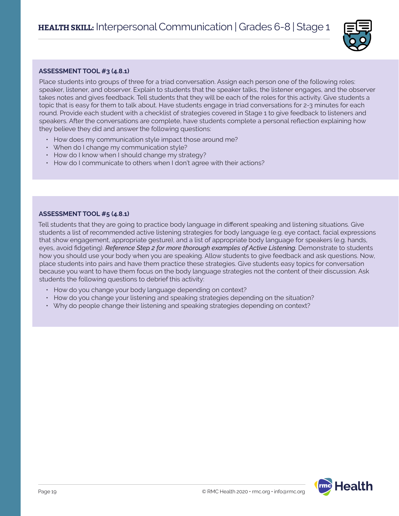

# **ASSESSMENT TOOL #3 (4.8.1)**

Place students into groups of three for a triad conversation. Assign each person one of the following roles: speaker, listener, and observer. Explain to students that the speaker talks, the listener engages, and the observer takes notes and gives feedback. Tell students that they will be each of the roles for this activity. Give students a topic that is easy for them to talk about. Have students engage in triad conversations for 2-3 minutes for each round. Provide each student with a checklist of strategies covered in Stage 1 to give feedback to listeners and speakers. After the conversations are complete, have students complete a personal reflection explaining how they believe they did and answer the following questions:

- How does my communication style impact those around me?
- When do I change my communication style?
- How do I know when I should change my strategy?
- How do I communicate to others when I don't agree with their actions?

# **ASSESSMENT TOOL #5 (4.8.1)**

Tell students that they are going to practice body language in different speaking and listening situations. Give students a list of recommended active listening strategies for body language (e.g. eye contact, facial expressions that show engagement, appropriate gesture), and a list of appropriate body language for speakers (e.g. hands, eyes, avoid fidgeting). *Reference Step 2 for more thorough examples of Active Listening.* Demonstrate to students how you should use your body when you are speaking. Allow students to give feedback and ask questions. Now, place students into pairs and have them practice these strategies. Give students easy topics for conversation because you want to have them focus on the body language strategies not the content of their discussion. Ask students the following questions to debrief this activity:

- How do you change your body language depending on context?
- How do you change your listening and speaking strategies depending on the situation?
- Why do people change their listening and speaking strategies depending on context?

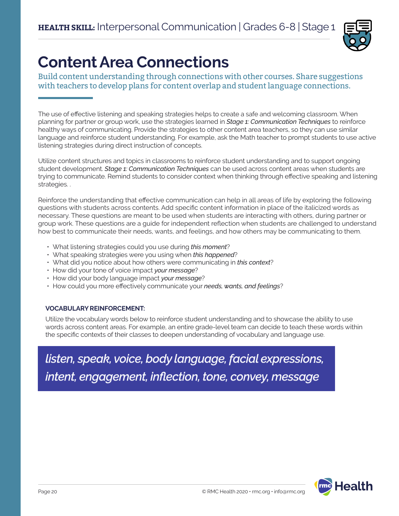

# **Content Area Connections**

Build content understanding through connections with other courses. Share suggestions with teachers to develop plans for content overlap and student language connections.

The use of effective listening and speaking strategies helps to create a safe and welcoming classroom. When planning for partner or group work, use the strategies learned in *Stage 1: Communication Techniques* to reinforce healthy ways of communicating. Provide the strategies to other content area teachers, so they can use similar language and reinforce student understanding. For example, ask the Math teacher to prompt students to use active listening strategies during direct instruction of concepts.

Utilize content structures and topics in classrooms to reinforce student understanding and to support ongoing student development. *Stage 1: Communication Techniques* can be used across content areas when students are trying to communicate. Remind students to consider context when thinking through effective speaking and listening strategies. .

Reinforce the understanding that effective communication can help in all areas of life by exploring the following questions with students across contents. Add specific content information in place of the italicized words as necessary. These questions are meant to be used when students are interacting with others, during partner or group work. These questions are a guide for independent reflection when students are challenged to understand how best to communicate their needs, wants, and feelings, and how others may be communicating to them.

- What listening strategies could you use during *this moment*?
- What speaking strategies were you using when *this happened*?
- What did you notice about how others were communicating in *this context*?
- How did your tone of voice impact *your message*?
- How did your body language impact *your message*?
- How could you more effectively communicate your *needs, wants, and feelings*?

# **VOCABULARY REINFORCEMENT:**

Utilize the vocabulary words below to reinforce student understanding and to showcase the ability to use words across content areas. For example, an entire grade-level team can decide to teach these words within the specific contexts of their classes to deepen understanding of vocabulary and language use.

*listen, speak, voice, body language, facial expressions, intent, engagement, inflection, tone, convey, message*